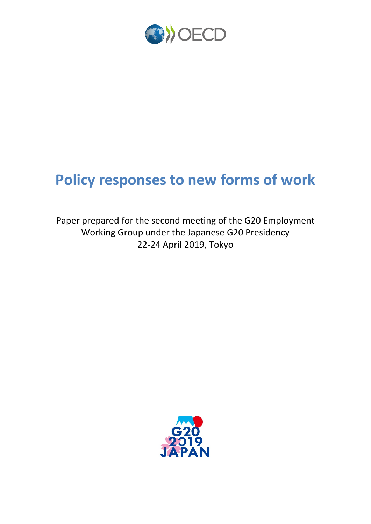

# **Policy responses to new forms of work**

Paper prepared for the second meeting of the G20 Employment Working Group under the Japanese G20 Presidency 22-24 April 2019, Tokyo

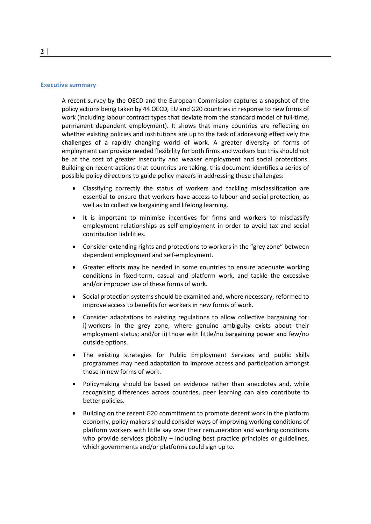#### **Executive summary**

A recent survey by the OECD and the European Commission captures a snapshot of the policy actions being taken by 44 OECD, EU and G20 countries in response to new forms of work (including labour contract types that deviate from the standard model of full-time, permanent dependent employment). It shows that many countries are reflecting on whether existing policies and institutions are up to the task of addressing effectively the challenges of a rapidly changing world of work. A greater diversity of forms of employment can provide needed flexibility for both firms and workers but this should not be at the cost of greater insecurity and weaker employment and social protections. Building on recent actions that countries are taking, this document identifies a series of possible policy directions to guide policy makers in addressing these challenges:

- Classifying correctly the status of workers and tackling misclassification are essential to ensure that workers have access to labour and social protection, as well as to collective bargaining and lifelong learning.
- It is important to minimise incentives for firms and workers to misclassify employment relationships as self-employment in order to avoid tax and social contribution liabilities.
- Consider extending rights and protections to workers in the "grey zone" between dependent employment and self-employment.
- Greater efforts may be needed in some countries to ensure adequate working conditions in fixed-term, casual and platform work, and tackle the excessive and/or improper use of these forms of work.
- Social protection systems should be examined and, where necessary, reformed to improve access to benefits for workers in new forms of work.
- Consider adaptations to existing regulations to allow collective bargaining for: i) workers in the grey zone, where genuine ambiguity exists about their employment status; and/or ii) those with little/no bargaining power and few/no outside options.
- The existing strategies for Public Employment Services and public skills programmes may need adaptation to improve access and participation amongst those in new forms of work.
- Policymaking should be based on evidence rather than anecdotes and, while recognising differences across countries, peer learning can also contribute to better policies.
- Building on the recent G20 commitment to promote decent work in the platform economy, policy makers should consider ways of improving working conditions of platform workers with little say over their remuneration and working conditions who provide services globally – including best practice principles or guidelines, which governments and/or platforms could sign up to.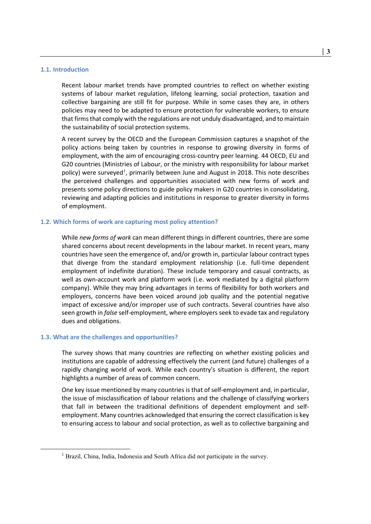#### **1.1. Introduction**

Recent labour market trends have prompted countries to reflect on whether existing systems of labour market regulation, lifelong learning, social protection, taxation and collective bargaining are still fit for purpose. While in some cases they are, in others policies may need to be adapted to ensure protection for vulnerable workers, to ensure that firms that comply with the regulations are not unduly disadvantaged, and to maintain the sustainability of social protection systems.

A recent survey by the OECD and the European Commission captures a snapshot of the policy actions being taken by countries in response to growing diversity in forms of employment, with the aim of encouraging cross-country peer learning. 44 OECD, EU and G20 countries (Ministries of Labour, or the ministry with responsibility for labour market policy) were surveyed<sup>[1](#page-2-0)</sup>, primarily between June and August in 2018. This note describes the perceived challenges and opportunities associated with new forms of work and presents some policy directions to guide policy makers in G20 countries in consolidating, reviewing and adapting policies and institutions in response to greater diversity in forms of employment.

#### **1.2. Which forms of work are capturing most policy attention?**

While *new forms of work* can mean different things in different countries, there are some shared concerns about recent developments in the labour market. In recent years, many countries have seen the emergence of, and/or growth in, particular labour contract types that diverge from the standard employment relationship (i.e. full-time dependent employment of indefinite duration). These include temporary and casual contracts, as well as own-account work and platform work (i.e. work mediated by a digital platform company). While they may bring advantages in terms of flexibility for both workers and employers, concerns have been voiced around job quality and the potential negative impact of excessive and/or improper use of such contracts. Several countries have also seen growth in *false* self-employment, where employers seek to evade tax and regulatory dues and obligations.

#### **1.3. What are the challenges and opportunities?**

The survey shows that many countries are reflecting on whether existing policies and institutions are capable of addressing effectively the current (and future) challenges of a rapidly changing world of work. While each country's situation is different, the report highlights a number of areas of common concern.

One key issue mentioned by many countries is that of self-employment and, in particular, the issue of misclassification of labour relations and the challenge of classifying workers that fall in between the traditional definitions of dependent employment and selfemployment. Many countries acknowledged that ensuring the correct classification is key to ensuring access to labour and social protection, as well as to collective bargaining and

<span id="page-2-0"></span><sup>&</sup>lt;sup>1</sup> Brazil, China, India, Indonesia and South Africa did not participate in the survey.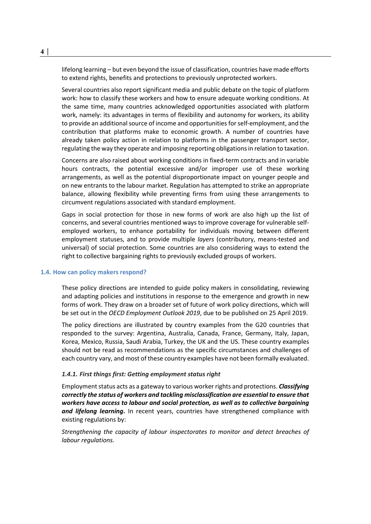lifelong learning – but even beyond the issue of classification, countries have made efforts to extend rights, benefits and protections to previously unprotected workers.

Several countries also report significant media and public debate on the topic of platform work: how to classify these workers and how to ensure adequate working conditions. At the same time, many countries acknowledged opportunities associated with platform work, namely: its advantages in terms of flexibility and autonomy for workers, its ability to provide an additional source of income and opportunities for self-employment, and the contribution that platforms make to economic growth. A number of countries have already taken policy action in relation to platforms in the passenger transport sector, regulating the way they operate and imposing reporting obligations in relation to taxation.

Concerns are also raised about working conditions in fixed-term contracts and in variable hours contracts, the potential excessive and/or improper use of these working arrangements, as well as the potential disproportionate impact on younger people and on new entrants to the labour market. Regulation has attempted to strike an appropriate balance, allowing flexibility while preventing firms from using these arrangements to circumvent regulations associated with standard employment.

Gaps in social protection for those in new forms of work are also high up the list of concerns, and several countries mentioned ways to improve coverage for vulnerable selfemployed workers, to enhance portability for individuals moving between different employment statuses, and to provide multiple *layers* (contributory, means-tested and universal) of social protection. Some countries are also considering ways to extend the right to collective bargaining rights to previously excluded groups of workers.

#### **1.4. How can policy makers respond?**

These policy directions are intended to guide policy makers in consolidating, reviewing and adapting policies and institutions in response to the emergence and growth in new forms of work. They draw on a broader set of future of work policy directions, which will be set out in the *OECD Employment Outlook 2019*, due to be published on 25 April 2019.

The policy directions are illustrated by country examples from the G20 countries that responded to the survey: Argentina, Australia, Canada, France, Germany, Italy, Japan, Korea, Mexico, Russia, Saudi Arabia, Turkey, the UK and the US. These country examples should not be read as recommendations as the specific circumstances and challenges of each country vary, and most of these country examples have not been formally evaluated.

#### *1.4.1. First things first: Getting employment status right*

Employment status acts as a gateway to various worker rights and protections. *Classifying correctly the status of workers and tackling misclassification are essential to ensure that workers have access to labour and social protection, as well as to collective bargaining and lifelong learning***.** In recent years, countries have strengthened compliance with existing regulations by:

*Strengthening the capacity of labour inspectorates to monitor and detect breaches of labour regulations.*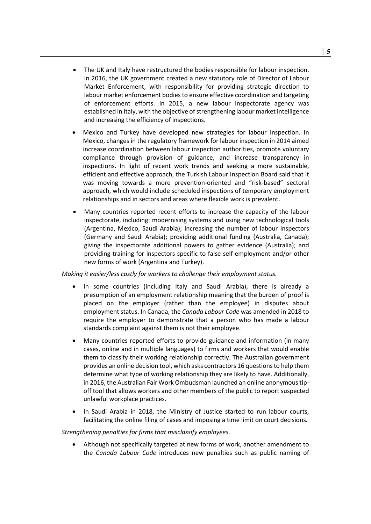- The UK and Italy have restructured the bodies responsible for labour inspection. In 2016, the UK government created a new statutory role of Director of Labour Market Enforcement, with responsibility for providing strategic direction to labour market enforcement bodies to ensure effective coordination and targeting of enforcement efforts. In 2015, a new labour inspectorate agency was established in Italy, with the objective of strengthening labour market intelligence and increasing the efficiency of inspections.
- Mexico and Turkey have developed new strategies for labour inspection. In Mexico, changes in the regulatory framework for labour inspection in 2014 aimed increase coordination between labour inspection authorities, promote voluntary compliance through provision of guidance, and increase transparency in inspections. In light of recent work trends and seeking a more sustainable, efficient and effective approach, the Turkish Labour Inspection Board said that it was moving towards a more prevention-oriented and "risk-based" sectoral approach, which would include scheduled inspections of temporary employment relationships and in sectors and areas where flexible work is prevalent.
- Many countries reported recent efforts to increase the capacity of the labour inspectorate, including: modernising systems and using new technological tools (Argentina, Mexico, Saudi Arabia); increasing the number of labour inspectors (Germany and Saudi Arabia); providing additional funding (Australia, Canada); giving the inspectorate additional powers to gather evidence (Australia); and providing training for inspectors specific to false self-employment and/or other new forms of work (Argentina and Turkey).

## *Making it easier/less costly for workers to challenge their employment status.*

- In some countries (including Italy and Saudi Arabia), there is already a presumption of an employment relationship meaning that the burden of proof is placed on the employer (rather than the employee) in disputes about employment status. In Canada, the *Canada Labour Code* was amended in 2018 to require the employer to demonstrate that a person who has made a labour standards complaint against them is not their employee.
- Many countries reported efforts to provide guidance and information (in many cases, online and in multiple languages) to firms and workers that would enable them to classify their working relationship correctly. The Australian government provides an online decision tool, which asks contractors 16 questions to help them determine what type of working relationship they are likely to have. Additionally, in 2016, the Australian Fair Work Ombudsman launched an online anonymous tipoff tool that allows workers and other members of the public to report suspected unlawful workplace practices.
- In Saudi Arabia in 2018, the Ministry of Justice started to run labour courts, facilitating the online filing of cases and imposing a time limit on court decisions.

#### *Strengthening penalties for firms that misclassify employees.*

• Although not specifically targeted at new forms of work, another amendment to the *Canada Labour Code* introduces new penalties such as public naming of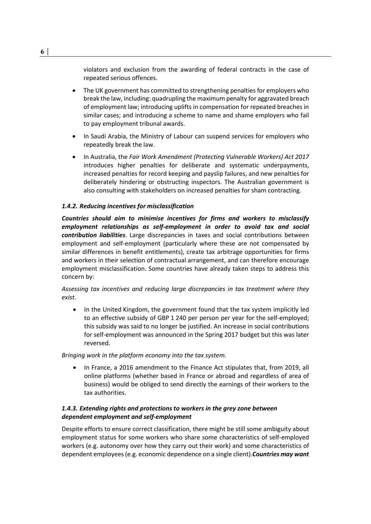violators and exclusion from the awarding of federal contracts in the case of repeated serious offences.

- The UK government has committed to strengthening penalties for employers who break the law, including: quadrupling the maximum penalty for aggravated breach of employment law; introducing uplifts in compensation for repeated breaches in similar cases; and introducing a scheme to name and shame employers who fail to pay employment tribunal awards.
- In Saudi Arabia, the Ministry of Labour can suspend services for employers who repeatedly break the law.
- In Australia, the *Fair Work Amendment (Protecting Vulnerable Workers) Act 2017* introduces higher penalties for deliberate and systematic underpayments, increased penalties for record keeping and payslip failures, and new penalties for deliberately hindering or obstructing inspectors. The Australian government is also consulting with stakeholders on increased penalties for sham contracting.

#### *1.4.2. Reducing incentives for misclassification*

*Countries should aim to minimise incentives for firms and workers to misclassify employment relationships as self-employment in order to avoid tax and social contribution liabilities*. Large discrepancies in taxes and social contributions between employment and self-employment (particularly where these are not compensated by similar differences in benefit entitlements), create tax arbitrage opportunities for firms and workers in their selection of contractual arrangement, and can therefore encourage employment misclassification. Some countries have already taken steps to address this concern by:

*Assessing tax incentives and reducing large discrepancies in tax treatment where they exist*.

• In the United Kingdom, the government found that the tax system implicitly led to an effective subsidy of GBP 1 240 per person per year for the self-employed; this subsidy was said to no longer be justified. An increase in social contributions for self-employment was announced in the Spring 2017 budget but this was later reversed.

*Bringing work in the platform economy into the tax system.*

• In France, a 2016 amendment to the Finance Act stipulates that, from 2019, all online platforms (whether based in France or abroad and regardless of area of business) would be obliged to send directly the earnings of their workers to the tax authorities.

## *1.4.3. Extending rights and protections to workers in the grey zone between dependent employment and self-employment*

Despite efforts to ensure correct classification, there might be still some ambiguity about employment status for some workers who share some characteristics of self-employed workers (e.g. autonomy over how they carry out their work) and some characteristics of dependent employees (e.g. economic dependence on a single client).*Countries may want*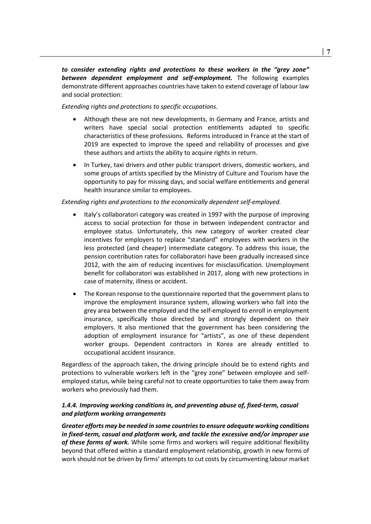*to consider extending rights and protections to these workers in the "grey zone" between dependent employment and self-employment.* The following examples demonstrate different approaches countries have taken to extend coverage of labour law and social protection:

*Extending rights and protections to specific occupations*.

- Although these are not new developments, in Germany and France, artists and writers have special social protection entitlements adapted to specific characteristics of these professions. Reforms introduced in France at the start of 2019 are expected to improve the speed and reliability of processes and give these authors and artists the ability to acquire rights in return.
- In Turkey, taxi drivers and other public transport drivers, domestic workers, and some groups of artists specified by the Ministry of Culture and Tourism have the opportunity to pay for missing days, and social welfare entitlements and general health insurance similar to employees.

## *Extending rights and protections to the economically dependent self-employed.*

- Italy's collaboratori category was created in 1997 with the purpose of improving access to social protection for those in between independent contractor and employee status. Unfortunately, this new category of worker created clear incentives for employers to replace "standard" employees with workers in the less protected (and cheaper) intermediate category. To address this issue, the pension contribution rates for collaboratori have been gradually increased since 2012, with the aim of reducing incentives for misclassification. Unemployment benefit for collaboratori was established in 2017, along with new protections in case of maternity, illness or accident.
- The Korean response to the questionnaire reported that the government plans to improve the employment insurance system, allowing workers who fall into the grey area between the employed and the self-employed to enroll in employment insurance, specifically those directed by and strongly dependent on their employers. It also mentioned that the government has been considering the adoption of employment insurance for "artists", as one of these dependent worker groups. Dependent contractors in Korea are already entitled to occupational accident insurance.

Regardless of the approach taken, the driving principle should be to extend rights and protections to vulnerable workers left in the "grey zone" between employee and selfemployed status, while being careful not to create opportunities to take them away from workers who previously had them.

# *1.4.4. Improving working conditions in, and preventing abuse of, fixed-term, casual and platform working arrangements*

*Greater efforts may be needed in some countries to ensure adequate working conditions in fixed-term, casual and platform work, and tackle the excessive and/or improper use of these forms of work.* While some firms and workers will require additional flexibility beyond that offered within a standard employment relationship, growth in new forms of work should not be driven by firms' attempts to cut costs by circumventing labour market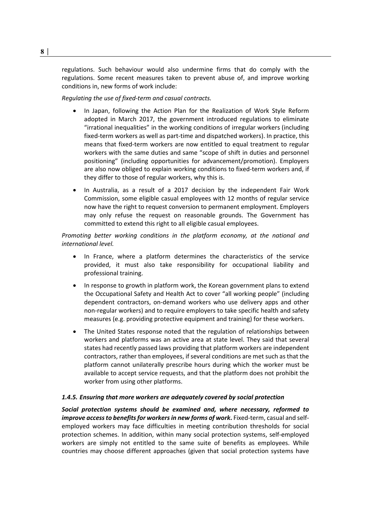regulations. Such behaviour would also undermine firms that do comply with the regulations. Some recent measures taken to prevent abuse of, and improve working conditions in, new forms of work include:

*Regulating the use of fixed-term and casual contracts.*

- In Japan, following the Action Plan for the Realization of Work Style Reform adopted in March 2017, the government introduced regulations to eliminate "irrational inequalities" in the working conditions of irregular workers (including fixed-term workers as well as part-time and dispatched workers). In practice, this means that fixed-term workers are now entitled to equal treatment to regular workers with the same duties and same "scope of shift in duties and personnel positioning" (including opportunities for advancement/promotion). Employers are also now obliged to explain working conditions to fixed-term workers and, if they differ to those of regular workers, why this is.
- In Australia, as a result of a 2017 decision by the independent Fair Work Commission, some eligible casual employees with 12 months of regular service now have the right to request conversion to permanent employment. Employers may only refuse the request on reasonable grounds. The Government has committed to extend this right to all eligible casual employees.

*Promoting better working conditions in the platform economy, at the national and international level.*

- In France, where a platform determines the characteristics of the service provided, it must also take responsibility for occupational liability and professional training.
- In response to growth in platform work, the Korean government plans to extend the Occupational Safety and Health Act to cover "all working people" (including dependent contractors, on-demand workers who use delivery apps and other non-regular workers) and to require employers to take specific health and safety measures (e.g. providing protective equipment and training) for these workers.
- The United States response noted that the regulation of relationships between workers and platforms was an active area at state level. They said that several states had recently passed laws providing that platform workers are independent contractors, rather than employees, if several conditions are met such as that the platform cannot unilaterally prescribe hours during which the worker must be available to accept service requests, and that the platform does not prohibit the worker from using other platforms.

#### *1.4.5. Ensuring that more workers are adequately covered by social protection*

*Social protection systems should be examined and, where necessary, reformed to improve access to benefits for workers in new forms of work*. Fixed-term, casual and selfemployed workers may face difficulties in meeting contribution thresholds for social protection schemes. In addition, within many social protection systems, self-employed workers are simply not entitled to the same suite of benefits as employees. While countries may choose different approaches (given that social protection systems have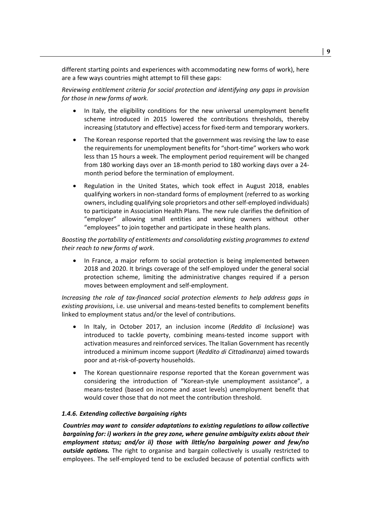different starting points and experiences with accommodating new forms of work), here are a few ways countries might attempt to fill these gaps:

*Reviewing entitlement criteria for social protection and identifying any gaps in provision for those in new forms of work.*

- In Italy, the eligibility conditions for the new universal unemployment benefit scheme introduced in 2015 lowered the contributions thresholds, thereby increasing (statutory and effective) access for fixed-term and temporary workers.
- The Korean response reported that the government was revising the law to ease the requirements for unemployment benefits for "short-time" workers who work less than 15 hours a week. The employment period requirement will be changed from 180 working days over an 18-month period to 180 working days over a 24 month period before the termination of employment.
- Regulation in the United States, which took effect in August 2018, enables qualifying workers in non-standard forms of employment (referred to as working owners, including qualifying sole proprietors and other self-employed individuals) to participate in Association Health Plans. The new rule clarifies the definition of "employer" allowing small entities and working owners without other "employees" to join together and participate in these health plans.

*Boosting the portability of entitlements and consolidating existing programmes to extend their reach to new forms of work*.

In France, a major reform to social protection is being implemented between 2018 and 2020. It brings coverage of the self-employed under the general social protection scheme, limiting the administrative changes required if a person moves between employment and self-employment.

*Increasing the role of tax-financed social protection elements to help address gaps in existing provisions*, i.e. use universal and means-tested benefits to complement benefits linked to employment status and/or the level of contributions.

- In Italy, in October 2017, an inclusion income (*Reddito di Inclusione*) was introduced to tackle poverty, combining means-tested income support with activation measures and reinforced services. The Italian Government has recently introduced a minimum income support (*Reddito di Cittadinanza*) aimed towards poor and at-risk-of-poverty households.
- The Korean questionnaire response reported that the Korean government was considering the introduction of "Korean-style unemployment assistance", a means-tested (based on income and asset levels) unemployment benefit that would cover those that do not meet the contribution threshold.

## *1.4.6. Extending collective bargaining rights*

*Countries may want to consider adaptations to existing regulations to allow collective bargaining for: i) workers in the grey zone, where genuine ambiguity exists about their employment status; and/or ii) those with little/no bargaining power and few/no outside options.* The right to organise and bargain collectively is usually restricted to employees. The self-employed tend to be excluded because of potential conflicts with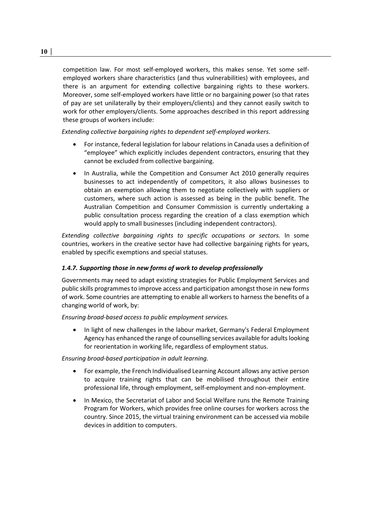competition law. For most self-employed workers, this makes sense. Yet some selfemployed workers share characteristics (and thus vulnerabilities) with employees, and there is an argument for extending collective bargaining rights to these workers. Moreover, some self-employed workers have little or no bargaining power (so that rates of pay are set unilaterally by their employers/clients) and they cannot easily switch to work for other employers/clients. Some approaches described in this report addressing these groups of workers include:

*Extending collective bargaining rights to dependent self-employed workers*.

- For instance, federal legislation for labour relations in Canada uses a definition of "employee" which explicitly includes dependent contractors, ensuring that they cannot be excluded from collective bargaining.
- In Australia, while the Competition and Consumer Act 2010 generally requires businesses to act independently of competitors, it also allows businesses to obtain an exemption allowing them to negotiate collectively with suppliers or customers, where such action is assessed as being in the public benefit. The Australian Competition and Consumer Commission is currently undertaking a public consultation process regarding the creation of a class exemption which would apply to small businesses (including independent contractors).

*Extending collective bargaining rights to specific occupations or sectors.* In some countries, workers in the creative sector have had collective bargaining rights for years, enabled by specific exemptions and special statuses.

# *1.4.7. Supporting those in new forms of work to develop professionally*

Governments may need to adapt existing strategies for Public Employment Services and public skills programmes to improve access and participation amongst those in new forms of work. Some countries are attempting to enable all workers to harness the benefits of a changing world of work, by:

*Ensuring broad-based access to public employment services.*

• In light of new challenges in the labour market, Germany's Federal Employment Agency has enhanced the range of counselling services available for adults looking for reorientation in working life, regardless of employment status.

*Ensuring broad-based participation in adult learning.* 

- For example, the French Individualised Learning Account allows any active person to acquire training rights that can be mobilised throughout their entire professional life, through employment, self-employment and non-employment.
- In Mexico, the Secretariat of Labor and Social Welfare runs the Remote Training Program for Workers, which provides free online courses for workers across the country. Since 2015, the virtual training environment can be accessed via mobile devices in addition to computers.